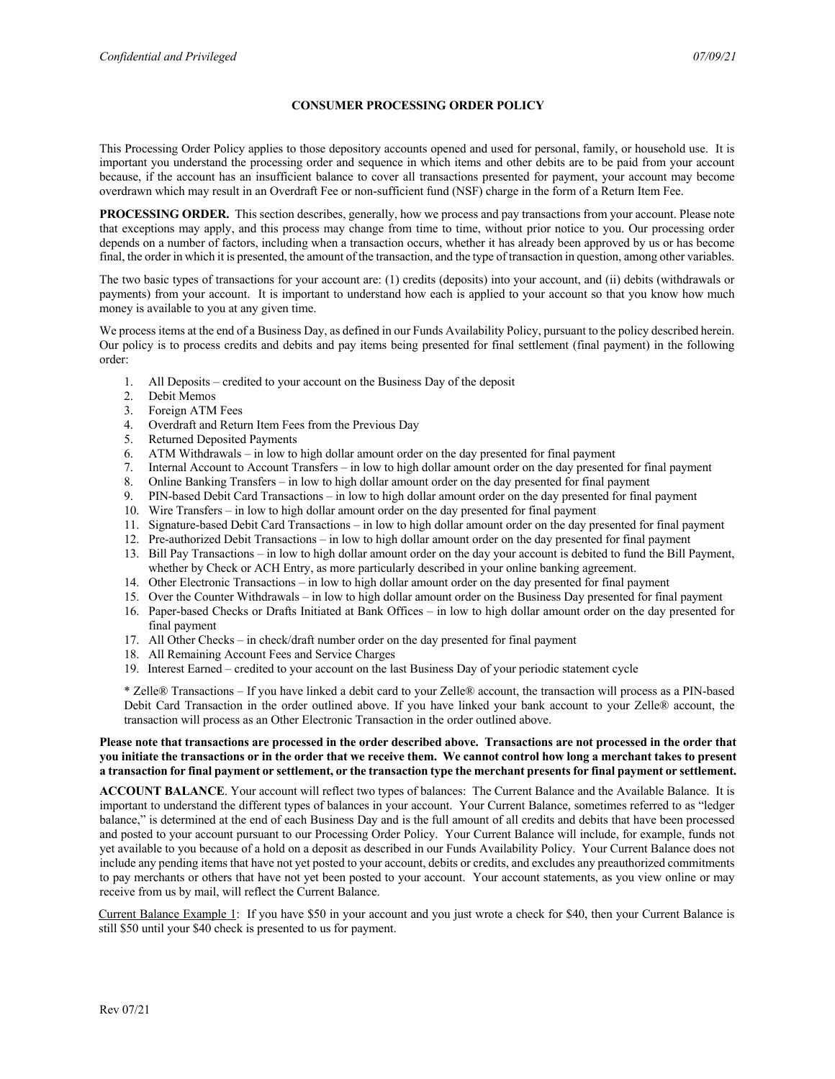## **CONSUMER PROCESSING ORDER POLICY**

This Processing Order Policy applies to those depository accounts opened and used for personal, family, or household use. It is important you understand the processing order and sequence in which items and other debits are to be paid from your account because, if the account has an insufficient balance to cover all transactions presented for payment, your account may become overdrawn which may result in an Overdraft Fee or non-sufficient fund (NSF) charge in the form of a Return Item Fee.

**PROCESSING ORDER.** This section describes, generally, how we process and pay transactions from your account. Please note that exceptions may apply, and this process may change from time to time, without prior notice to you. Our processing order depends on a number of factors, including when a transaction occurs, whether it has already been approved by us or has become final, the order in which it is presented, the amount of the transaction, and the type of transaction in question, among other variables.

The two basic types of transactions for your account are: (1) credits (deposits) into your account, and (ii) debits (withdrawals or payments) from your account. It is important to understand how each is applied to your account so that you know how much money is available to you at any given time.

We process items at the end of a Business Day, as defined in our Funds Availability Policy, pursuant to the policy described herein. Our policy is to process credits and debits and pay items being presented for final settlement (final payment) in the following order:

- 1. All Deposits credited to your account on the Business Day of the deposit
- 2. Debit Memos
- 3. Foreign ATM Fees
- 4. Overdraft and Return Item Fees from the Previous Day
- 5. Returned Deposited Payments
- 6. ATM Withdrawals in low to high dollar amount order on the day presented for final payment
- 7. Internal Account to Account Transfers in low to high dollar amount order on the day presented for final payment
- 
- 8. Online Banking Transfers in low to high dollar amount order on the day presented for final payment 9. PIN-based Debit Card Transactions in low to high dollar amount order on the day presented for final 9. PIN-based Debit Card Transactions – in low to high dollar amount order on the day presented for final payment
- 10. Wire Transfers in low to high dollar amount order on the day presented for final payment
- 11. Signature-based Debit Card Transactions in low to high dollar amount order on the day presented for final payment
- 12. Pre-authorized Debit Transactions in low to high dollar amount order on the day presented for final payment
- 13. Bill Pay Transactions in low to high dollar amount order on the day your account is debited to fund the Bill Payment, whether by Check or ACH Entry, as more particularly described in your online banking agreement.
- 14. Other Electronic Transactions in low to high dollar amount order on the day presented for final payment
- 15. Over the Counter Withdrawals in low to high dollar amount order on the Business Day presented for final payment
- 16. Paper-based Checks or Drafts Initiated at Bank Offices in low to high dollar amount order on the day presented for final payment
- 17. All Other Checks in check/draft number order on the day presented for final payment
- 18. All Remaining Account Fees and Service Charges
- 19. Interest Earned credited to your account on the last Business Day of your periodic statement cycle

\* Zelle® Transactions – If you have linked a debit card to your Zelle® account, the transaction will process as a PIN-based Debit Card Transaction in the order outlined above. If you have linked your bank account to your Zelle® account, the transaction will process as an Other Electronic Transaction in the order outlined above.

## **Please note that transactions are processed in the order described above. Transactions are not processed in the order that you initiate the transactions or in the order that we receive them. We cannot control how long a merchant takes to present a transaction for final payment or settlement, or the transaction type the merchant presents for final payment or settlement.**

**ACCOUNT BALANCE**. Your account will reflect two types of balances: The Current Balance and the Available Balance. It is important to understand the different types of balances in your account. Your Current Balance, sometimes referred to as "ledger balance," is determined at the end of each Business Day and is the full amount of all credits and debits that have been processed and posted to your account pursuant to our Processing Order Policy. Your Current Balance will include, for example, funds not yet available to you because of a hold on a deposit as described in our Funds Availability Policy. Your Current Balance does not include any pending items that have not yet posted to your account, debits or credits, and excludes any preauthorized commitments to pay merchants or others that have not yet been posted to your account. Your account statements, as you view online or may receive from us by mail, will reflect the Current Balance.

Current Balance Example 1: If you have \$50 in your account and you just wrote a check for \$40, then your Current Balance is still \$50 until your \$40 check is presented to us for payment.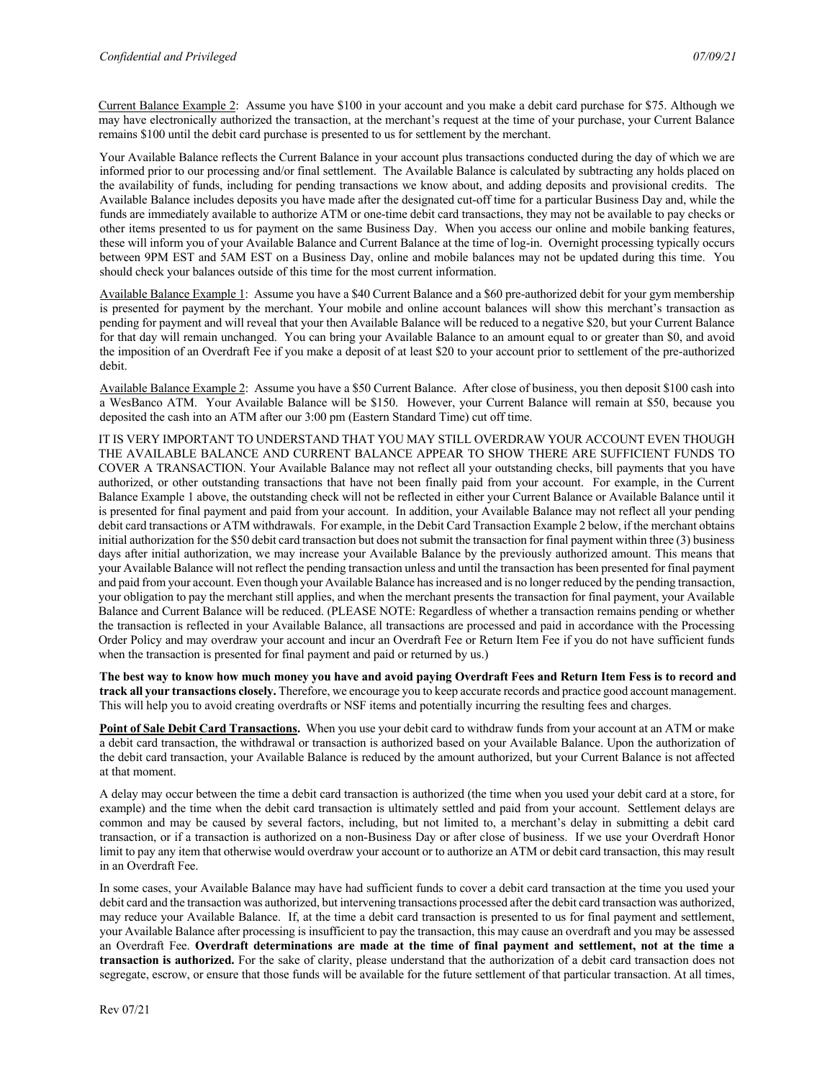Current Balance Example 2: Assume you have \$100 in your account and you make a debit card purchase for \$75. Although we may have electronically authorized the transaction, at the merchant's request at the time of your purchase, your Current Balance remains \$100 until the debit card purchase is presented to us for settlement by the merchant.

Your Available Balance reflects the Current Balance in your account plus transactions conducted during the day of which we are informed prior to our processing and/or final settlement. The Available Balance is calculated by subtracting any holds placed on the availability of funds, including for pending transactions we know about, and adding deposits and provisional credits. The Available Balance includes deposits you have made after the designated cut-off time for a particular Business Day and, while the funds are immediately available to authorize ATM or one-time debit card transactions, they may not be available to pay checks or other items presented to us for payment on the same Business Day. When you access our online and mobile banking features, these will inform you of your Available Balance and Current Balance at the time of log-in. Overnight processing typically occurs between 9PM EST and 5AM EST on a Business Day, online and mobile balances may not be updated during this time. You should check your balances outside of this time for the most current information.

Available Balance Example 1: Assume you have a \$40 Current Balance and a \$60 pre-authorized debit for your gym membership is presented for payment by the merchant. Your mobile and online account balances will show this merchant's transaction as pending for payment and will reveal that your then Available Balance will be reduced to a negative \$20, but your Current Balance for that day will remain unchanged. You can bring your Available Balance to an amount equal to or greater than \$0, and avoid the imposition of an Overdraft Fee if you make a deposit of at least \$20 to your account prior to settlement of the pre-authorized debit.

Available Balance Example 2: Assume you have a \$50 Current Balance. After close of business, you then deposit \$100 cash into a WesBanco ATM. Your Available Balance will be \$150. However, your Current Balance will remain at \$50, because you deposited the cash into an ATM after our 3:00 pm (Eastern Standard Time) cut off time.

IT IS VERY IMPORTANT TO UNDERSTAND THAT YOU MAY STILL OVERDRAW YOUR ACCOUNT EVEN THOUGH THE AVAILABLE BALANCE AND CURRENT BALANCE APPEAR TO SHOW THERE ARE SUFFICIENT FUNDS TO COVER A TRANSACTION. Your Available Balance may not reflect all your outstanding checks, bill payments that you have authorized, or other outstanding transactions that have not been finally paid from your account. For example, in the Current Balance Example 1 above, the outstanding check will not be reflected in either your Current Balance or Available Balance until it is presented for final payment and paid from your account. In addition, your Available Balance may not reflect all your pending debit card transactions or ATM withdrawals. For example, in the Debit Card Transaction Example 2 below, if the merchant obtains initial authorization for the \$50 debit card transaction but does not submit the transaction for final payment within three (3) business days after initial authorization, we may increase your Available Balance by the previously authorized amount. This means that your Available Balance will not reflect the pending transaction unless and until the transaction has been presented for final payment and paid from your account. Even though your Available Balance has increased and is no longer reduced by the pending transaction, your obligation to pay the merchant still applies, and when the merchant presents the transaction for final payment, your Available Balance and Current Balance will be reduced. (PLEASE NOTE: Regardless of whether a transaction remains pending or whether the transaction is reflected in your Available Balance, all transactions are processed and paid in accordance with the Processing Order Policy and may overdraw your account and incur an Overdraft Fee or Return Item Fee if you do not have sufficient funds when the transaction is presented for final payment and paid or returned by us.)

**The best way to know how much money you have and avoid paying Overdraft Fees and Return Item Fess is to record and track all your transactions closely.** Therefore, we encourage you to keep accurate records and practice good account management. This will help you to avoid creating overdrafts or NSF items and potentially incurring the resulting fees and charges.

**Point of Sale Debit Card Transactions.** When you use your debit card to withdraw funds from your account at an ATM or make a debit card transaction, the withdrawal or transaction is authorized based on your Available Balance. Upon the authorization of the debit card transaction, your Available Balance is reduced by the amount authorized, but your Current Balance is not affected at that moment.

A delay may occur between the time a debit card transaction is authorized (the time when you used your debit card at a store, for example) and the time when the debit card transaction is ultimately settled and paid from your account. Settlement delays are common and may be caused by several factors, including, but not limited to, a merchant's delay in submitting a debit card transaction, or if a transaction is authorized on a non-Business Day or after close of business. If we use your Overdraft Honor limit to pay any item that otherwise would overdraw your account or to authorize an ATM or debit card transaction, this may result in an Overdraft Fee.

In some cases, your Available Balance may have had sufficient funds to cover a debit card transaction at the time you used your debit card and the transaction was authorized, but intervening transactions processed after the debit card transaction was authorized, may reduce your Available Balance. If, at the time a debit card transaction is presented to us for final payment and settlement, your Available Balance after processing is insufficient to pay the transaction, this may cause an overdraft and you may be assessed an Overdraft Fee. **Overdraft determinations are made at the time of final payment and settlement, not at the time a transaction is authorized.** For the sake of clarity, please understand that the authorization of a debit card transaction does not segregate, escrow, or ensure that those funds will be available for the future settlement of that particular transaction. At all times,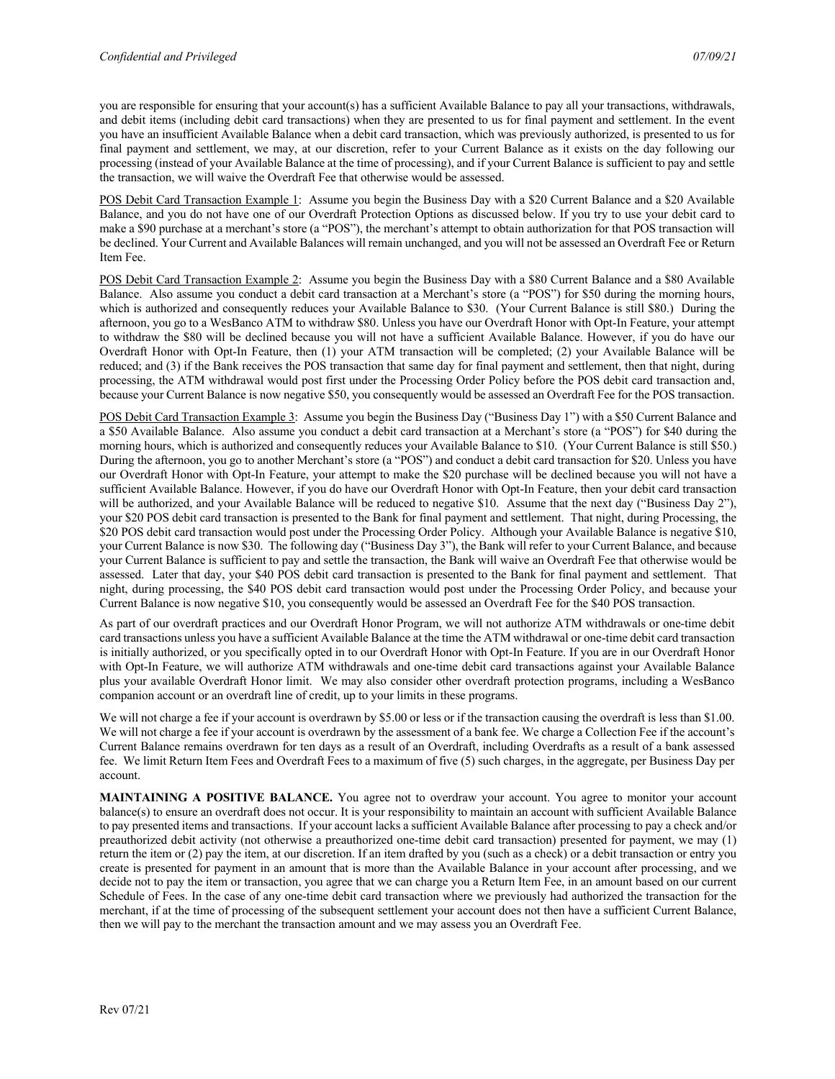you are responsible for ensuring that your account(s) has a sufficient Available Balance to pay all your transactions, withdrawals, and debit items (including debit card transactions) when they are presented to us for final payment and settlement. In the event you have an insufficient Available Balance when a debit card transaction, which was previously authorized, is presented to us for final payment and settlement, we may, at our discretion, refer to your Current Balance as it exists on the day following our processing (instead of your Available Balance at the time of processing), and if your Current Balance is sufficient to pay and settle the transaction, we will waive the Overdraft Fee that otherwise would be assessed.

POS Debit Card Transaction Example 1: Assume you begin the Business Day with a \$20 Current Balance and a \$20 Available Balance, and you do not have one of our Overdraft Protection Options as discussed below. If you try to use your debit card to make a \$90 purchase at a merchant's store (a "POS"), the merchant's attempt to obtain authorization for that POS transaction will be declined. Your Current and Available Balances will remain unchanged, and you will not be assessed an Overdraft Fee or Return Item Fee.

POS Debit Card Transaction Example 2: Assume you begin the Business Day with a \$80 Current Balance and a \$80 Available Balance. Also assume you conduct a debit card transaction at a Merchant's store (a "POS") for \$50 during the morning hours, which is authorized and consequently reduces your Available Balance to \$30. (Your Current Balance is still \$80.) During the afternoon, you go to a WesBanco ATM to withdraw \$80. Unless you have our Overdraft Honor with Opt-In Feature, your attempt to withdraw the \$80 will be declined because you will not have a sufficient Available Balance. However, if you do have our Overdraft Honor with Opt-In Feature, then (1) your ATM transaction will be completed; (2) your Available Balance will be reduced; and (3) if the Bank receives the POS transaction that same day for final payment and settlement, then that night, during processing, the ATM withdrawal would post first under the Processing Order Policy before the POS debit card transaction and, because your Current Balance is now negative \$50, you consequently would be assessed an Overdraft Fee for the POS transaction.

POS Debit Card Transaction Example 3: Assume you begin the Business Day ("Business Day 1") with a \$50 Current Balance and a \$50 Available Balance. Also assume you conduct a debit card transaction at a Merchant's store (a "POS") for \$40 during the morning hours, which is authorized and consequently reduces your Available Balance to \$10. (Your Current Balance is still \$50.) During the afternoon, you go to another Merchant's store (a "POS") and conduct a debit card transaction for \$20. Unless you have our Overdraft Honor with Opt-In Feature, your attempt to make the \$20 purchase will be declined because you will not have a sufficient Available Balance. However, if you do have our Overdraft Honor with Opt-In Feature, then your debit card transaction will be authorized, and your Available Balance will be reduced to negative \$10. Assume that the next day ("Business Day 2"), your \$20 POS debit card transaction is presented to the Bank for final payment and settlement. That night, during Processing, the \$20 POS debit card transaction would post under the Processing Order Policy. Although your Available Balance is negative \$10, your Current Balance is now \$30. The following day ("Business Day 3"), the Bank will refer to your Current Balance, and because your Current Balance is sufficient to pay and settle the transaction, the Bank will waive an Overdraft Fee that otherwise would be assessed. Later that day, your \$40 POS debit card transaction is presented to the Bank for final payment and settlement. That night, during processing, the \$40 POS debit card transaction would post under the Processing Order Policy, and because your Current Balance is now negative \$10, you consequently would be assessed an Overdraft Fee for the \$40 POS transaction.

As part of our overdraft practices and our Overdraft Honor Program, we will not authorize ATM withdrawals or one-time debit card transactions unless you have a sufficient Available Balance at the time the ATM withdrawal or one-time debit card transaction is initially authorized, or you specifically opted in to our Overdraft Honor with Opt-In Feature. If you are in our Overdraft Honor with Opt-In Feature, we will authorize ATM withdrawals and one-time debit card transactions against your Available Balance plus your available Overdraft Honor limit. We may also consider other overdraft protection programs, including a WesBanco companion account or an overdraft line of credit, up to your limits in these programs.

We will not charge a fee if your account is overdrawn by \$5.00 or less or if the transaction causing the overdraft is less than \$1.00. We will not charge a fee if your account is overdrawn by the assessment of a bank fee. We charge a Collection Fee if the account's Current Balance remains overdrawn for ten days as a result of an Overdraft, including Overdrafts as a result of a bank assessed fee. We limit Return Item Fees and Overdraft Fees to a maximum of five (5) such charges, in the aggregate, per Business Day per account.

**MAINTAINING A POSITIVE BALANCE.** You agree not to overdraw your account. You agree to monitor your account balance(s) to ensure an overdraft does not occur. It is your responsibility to maintain an account with sufficient Available Balance to pay presented items and transactions. If your account lacks a sufficient Available Balance after processing to pay a check and/or preauthorized debit activity (not otherwise a preauthorized one-time debit card transaction) presented for payment, we may (1) return the item or (2) pay the item, at our discretion. If an item drafted by you (such as a check) or a debit transaction or entry you create is presented for payment in an amount that is more than the Available Balance in your account after processing, and we decide not to pay the item or transaction, you agree that we can charge you a Return Item Fee, in an amount based on our current Schedule of Fees. In the case of any one-time debit card transaction where we previously had authorized the transaction for the merchant, if at the time of processing of the subsequent settlement your account does not then have a sufficient Current Balance, then we will pay to the merchant the transaction amount and we may assess you an Overdraft Fee.